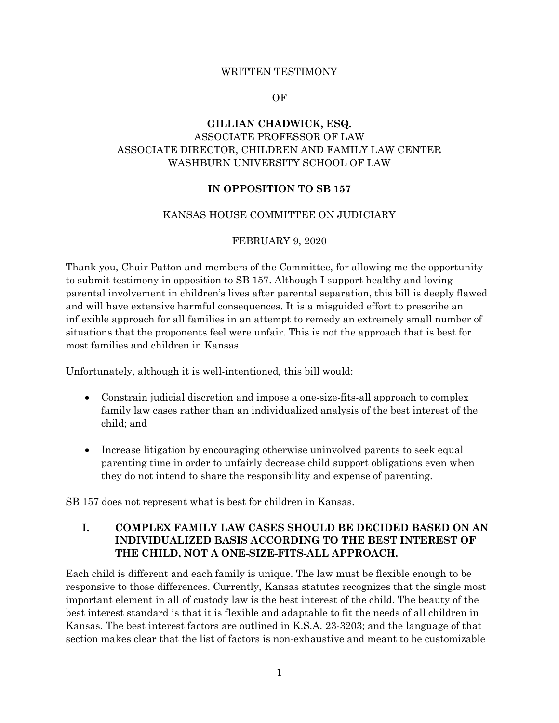#### WRITTEN TESTIMONY

#### OF

# **GILLIAN CHADWICK, ESQ.** ASSOCIATE PROFESSOR OF LAW ASSOCIATE DIRECTOR, CHILDREN AND FAMILY LAW CENTER WASHBURN UNIVERSITY SCHOOL OF LAW

### **IN OPPOSITION TO SB 157**

#### KANSAS HOUSE COMMITTEE ON JUDICIARY

### FEBRUARY 9, 2020

Thank you, Chair Patton and members of the Committee, for allowing me the opportunity to submit testimony in opposition to SB 157. Although I support healthy and loving parental involvement in children's lives after parental separation, this bill is deeply flawed and will have extensive harmful consequences. It is a misguided effort to prescribe an inflexible approach for all families in an attempt to remedy an extremely small number of situations that the proponents feel were unfair. This is not the approach that is best for most families and children in Kansas.

Unfortunately, although it is well-intentioned, this bill would:

- Constrain judicial discretion and impose a one-size-fits-all approach to complex family law cases rather than an individualized analysis of the best interest of the child; and
- Increase litigation by encouraging otherwise uninvolved parents to seek equal parenting time in order to unfairly decrease child support obligations even when they do not intend to share the responsibility and expense of parenting.

SB 157 does not represent what is best for children in Kansas.

## **I. COMPLEX FAMILY LAW CASES SHOULD BE DECIDED BASED ON AN INDIVIDUALIZED BASIS ACCORDING TO THE BEST INTEREST OF THE CHILD, NOT A ONE-SIZE-FITS-ALL APPROACH.**

Each child is different and each family is unique. The law must be flexible enough to be responsive to those differences. Currently, Kansas statutes recognizes that the single most important element in all of custody law is the best interest of the child. The beauty of the best interest standard is that it is flexible and adaptable to fit the needs of all children in Kansas. The best interest factors are outlined in K.S.A. 23-3203; and the language of that section makes clear that the list of factors is non-exhaustive and meant to be customizable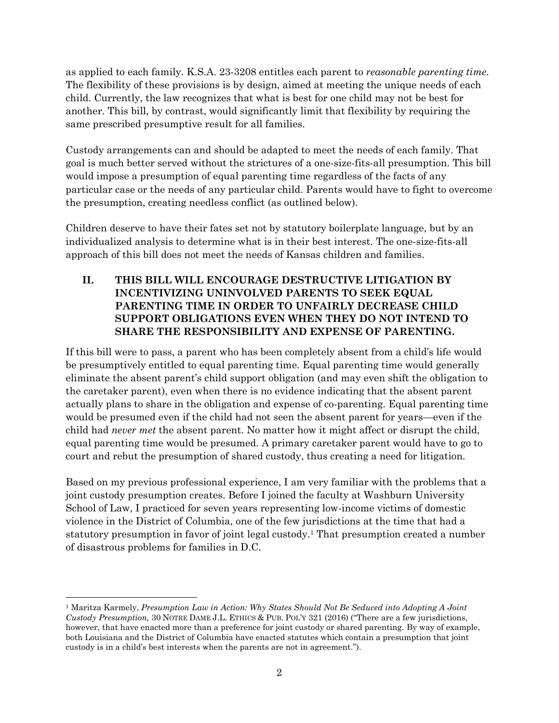as applied to each family. K.S.A. 23-3208 entitles each parent to *reasonable parenting time.*  The flexibility of these provisions is by design, aimed at meeting the unique needs of each child. Currently, the law recognizes that what is best for one child may not be best for another. This bill, by contrast, would significantly limit that flexibility by requiring the same prescribed presumptive result for all families.

Custody arrangements can and should be adapted to meet the needs of each family. That goal is much better served without the strictures of a one-size-fits-all presumption. This bill would impose a presumption of equal parenting time regardless of the facts of any particular case or the needs of any particular child. Parents would have to fight to overcome the presumption, creating needless conflict (as outlined below).

Children deserve to have their fates set not by statutory boilerplate language, but by an individualized analysis to determine what is in their best interest. The one-size-fits-all approach of this bill does not meet the needs of Kansas children and families.

# **II. THIS BILL WILL ENCOURAGE DESTRUCTIVE LITIGATION BY INCENTIVIZING UNINVOLVED PARENTS TO SEEK EQUAL PARENTING TIME IN ORDER TO UNFAIRLY DECREASE CHILD SUPPORT OBLIGATIONS EVEN WHEN THEY DO NOT INTEND TO SHARE THE RESPONSIBILITY AND EXPENSE OF PARENTING.**

If this bill were to pass, a parent who has been completely absent from a child's life would be presumptively entitled to equal parenting time. Equal parenting time would generally eliminate the absent parent's child support obligation (and may even shift the obligation to the caretaker parent), even when there is no evidence indicating that the absent parent actually plans to share in the obligation and expense of co-parenting. Equal parenting time would be presumed even if the child had not seen the absent parent for years—even if the child had *never met* the absent parent. No matter how it might affect or disrupt the child, equal parenting time would be presumed. A primary caretaker parent would have to go to court and rebut the presumption of shared custody, thus creating a need for litigation.

Based on my previous professional experience, I am very familiar with the problems that a joint custody presumption creates. Before I joined the faculty at Washburn University School of Law, I practiced for seven years representing low-income victims of domestic violence in the District of Columbia, one of the few jurisdictions at the time that had a statutory presumption in favor of joint legal custody.<sup>1</sup> That presumption created a number of disastrous problems for families in D.C.

<sup>1</sup> Maritza Karmely, *Presumption Law in Action: Why States Should Not Be Seduced into Adopting A Joint Custody Presumption,* 30 NOTRE DAME J.L. ETHICS & PUB. POL'Y 321 (2016) ("There are a few jurisdictions, however, that have enacted more than a preference for joint custody or shared parenting. By way of example, both Louisiana and the District of Columbia have enacted statutes which contain a presumption that joint custody is in a child's best interests when the parents are not in agreement.").